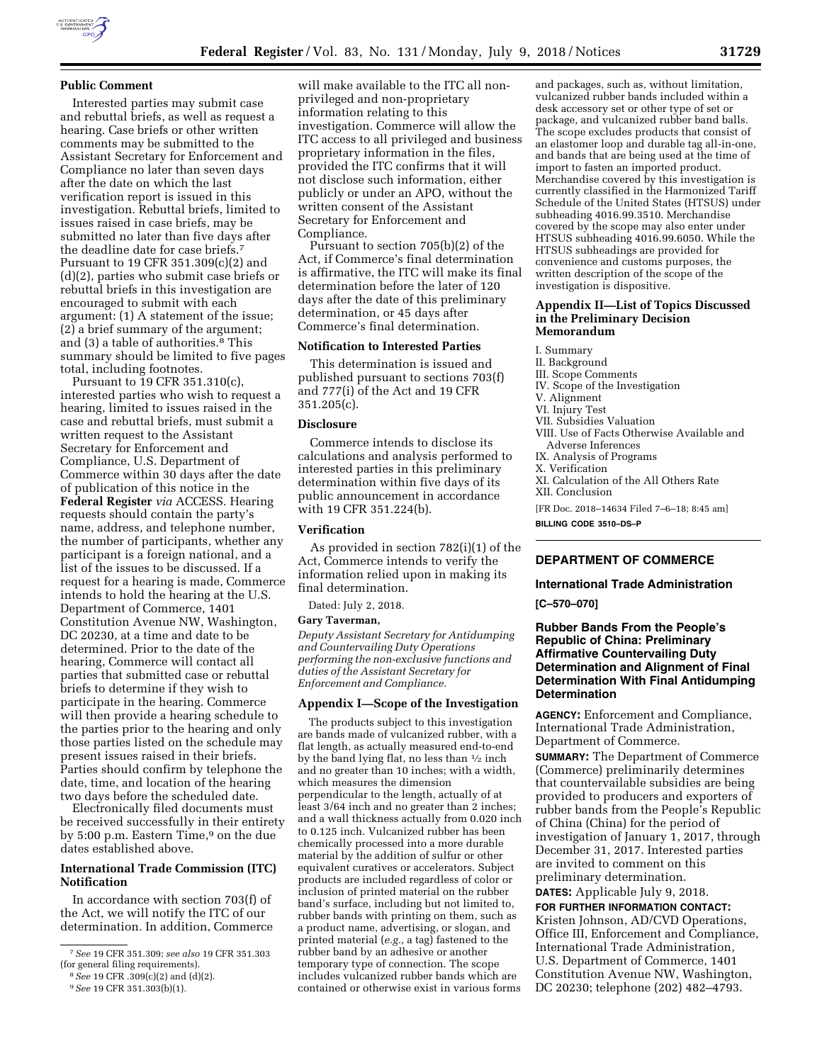

Interested parties may submit case and rebuttal briefs, as well as request a hearing. Case briefs or other written comments may be submitted to the Assistant Secretary for Enforcement and Compliance no later than seven days after the date on which the last verification report is issued in this investigation. Rebuttal briefs, limited to issues raised in case briefs, may be submitted no later than five days after the deadline date for case briefs.7 Pursuant to 19 CFR 351.309(c)(2) and (d)(2), parties who submit case briefs or rebuttal briefs in this investigation are encouraged to submit with each argument: (1) A statement of the issue; (2) a brief summary of the argument; and (3) a table of authorities.8 This summary should be limited to five pages total, including footnotes.

Pursuant to 19 CFR 351.310(c), interested parties who wish to request a hearing, limited to issues raised in the case and rebuttal briefs, must submit a written request to the Assistant Secretary for Enforcement and Compliance, U.S. Department of Commerce within 30 days after the date of publication of this notice in the **Federal Register** *via* ACCESS. Hearing requests should contain the party's name, address, and telephone number, the number of participants, whether any participant is a foreign national, and a list of the issues to be discussed. If a request for a hearing is made, Commerce intends to hold the hearing at the U.S. Department of Commerce, 1401 Constitution Avenue NW, Washington, DC 20230, at a time and date to be determined. Prior to the date of the hearing, Commerce will contact all parties that submitted case or rebuttal briefs to determine if they wish to participate in the hearing. Commerce will then provide a hearing schedule to the parties prior to the hearing and only those parties listed on the schedule may present issues raised in their briefs. Parties should confirm by telephone the date, time, and location of the hearing two days before the scheduled date.

Electronically filed documents must be received successfully in their entirety by 5:00 p.m. Eastern Time,<sup>9</sup> on the due dates established above.

### **International Trade Commission (ITC) Notification**

In accordance with section 703(f) of the Act, we will notify the ITC of our determination. In addition, Commerce

will make available to the ITC all nonprivileged and non-proprietary information relating to this investigation. Commerce will allow the ITC access to all privileged and business proprietary information in the files, provided the ITC confirms that it will not disclose such information, either publicly or under an APO, without the written consent of the Assistant Secretary for Enforcement and Compliance.

Pursuant to section 705(b)(2) of the Act, if Commerce's final determination is affirmative, the ITC will make its final determination before the later of 120 days after the date of this preliminary determination, or 45 days after Commerce's final determination.

#### **Notification to Interested Parties**

This determination is issued and published pursuant to sections 703(f) and 777(i) of the Act and 19 CFR 351.205(c).

#### **Disclosure**

Commerce intends to disclose its calculations and analysis performed to interested parties in this preliminary determination within five days of its public announcement in accordance with 19 CFR 351.224(b).

## **Verification**

As provided in section 782(i)(1) of the Act, Commerce intends to verify the information relied upon in making its final determination.

Dated: July 2, 2018.

#### **Gary Taverman,**

*Deputy Assistant Secretary for Antidumping and Countervailing Duty Operations performing the non-exclusive functions and duties of the Assistant Secretary for Enforcement and Compliance.* 

#### **Appendix I—Scope of the Investigation**

The products subject to this investigation are bands made of vulcanized rubber, with a flat length, as actually measured end-to-end by the band lying flat, no less than  $\frac{1}{2}$  inch and no greater than 10 inches; with a width, which measures the dimension perpendicular to the length, actually of at least 3/64 inch and no greater than 2 inches; and a wall thickness actually from 0.020 inch to 0.125 inch. Vulcanized rubber has been chemically processed into a more durable material by the addition of sulfur or other equivalent curatives or accelerators. Subject products are included regardless of color or inclusion of printed material on the rubber band's surface, including but not limited to, rubber bands with printing on them, such as a product name, advertising, or slogan, and printed material (*e.g.,* a tag) fastened to the rubber band by an adhesive or another temporary type of connection. The scope includes vulcanized rubber bands which are contained or otherwise exist in various forms

and packages, such as, without limitation, vulcanized rubber bands included within a desk accessory set or other type of set or package, and vulcanized rubber band balls. The scope excludes products that consist of an elastomer loop and durable tag all-in-one, and bands that are being used at the time of import to fasten an imported product. Merchandise covered by this investigation is currently classified in the Harmonized Tariff Schedule of the United States (HTSUS) under subheading 4016.99.3510. Merchandise covered by the scope may also enter under HTSUS subheading 4016.99.6050. While the HTSUS subheadings are provided for convenience and customs purposes, the written description of the scope of the investigation is dispositive.

## **Appendix II—List of Topics Discussed in the Preliminary Decision Memorandum**

# I. Summary

- II. Background
- III. Scope Comments
- IV. Scope of the Investigation
- V. Alignment
- VI. Injury Test
- VII. Subsidies Valuation
- VIII. Use of Facts Otherwise Available and Adverse Inferences
- IX. Analysis of Programs
- X. Verification
- XI. Calculation of the All Others Rate XII. Conclusion

[FR Doc. 2018–14634 Filed 7–6–18; 8:45 am] **BILLING CODE 3510–DS–P** 

### **DEPARTMENT OF COMMERCE**

#### **International Trade Administration**

**[C–570–070]** 

## **Rubber Bands From the People's Republic of China: Preliminary Affirmative Countervailing Duty Determination and Alignment of Final Determination With Final Antidumping Determination**

**AGENCY:** Enforcement and Compliance, International Trade Administration, Department of Commerce.

**SUMMARY:** The Department of Commerce (Commerce) preliminarily determines that countervailable subsidies are being provided to producers and exporters of rubber bands from the People's Republic of China (China) for the period of investigation of January 1, 2017, through December 31, 2017. Interested parties are invited to comment on this preliminary determination.

**DATES:** Applicable July 9, 2018.

**FOR FURTHER INFORMATION CONTACT:**  Kristen Johnson, AD/CVD Operations, Office III, Enforcement and Compliance, International Trade Administration, U.S. Department of Commerce, 1401 Constitution Avenue NW, Washington, DC 20230; telephone (202) 482–4793.

<sup>7</sup>*See* 19 CFR 351.309; *see also* 19 CFR 351.303 (for general filing requirements).

<sup>8</sup>*See* 19 CFR .309(c)(2) and (d)(2).

<sup>9</sup>*See* 19 CFR 351.303(b)(1).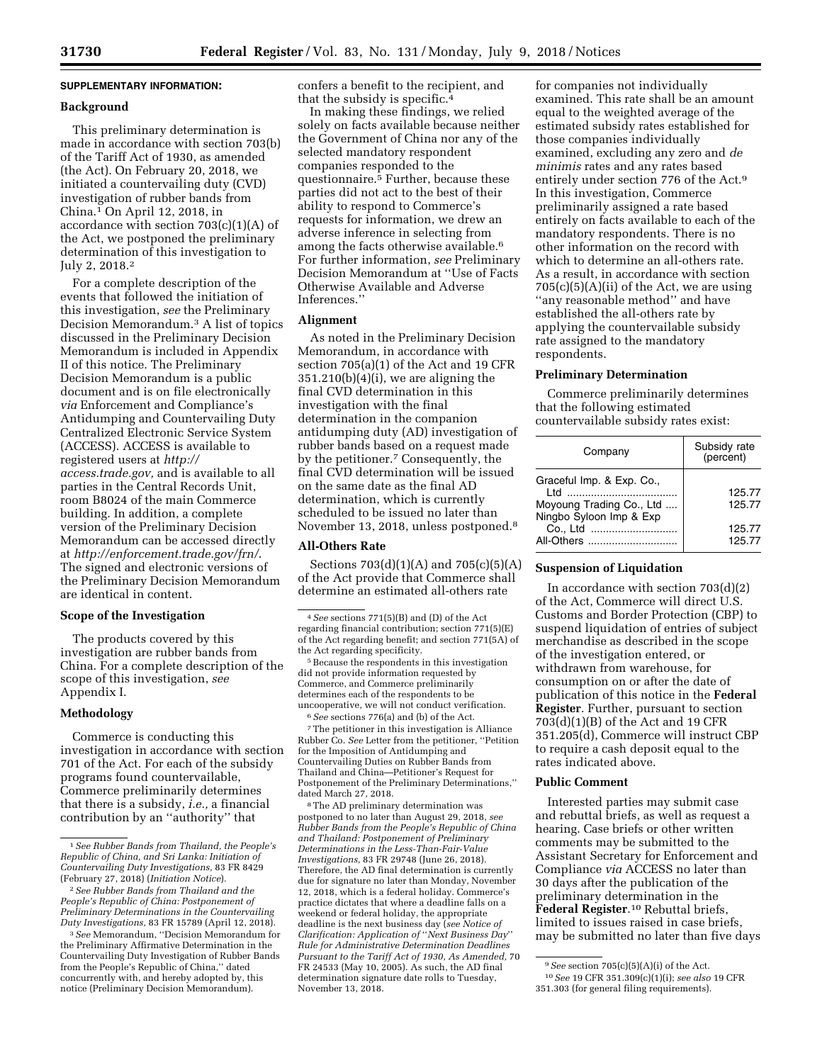## **SUPPLEMENTARY INFORMATION:**

#### **Background**

This preliminary determination is made in accordance with section 703(b) of the Tariff Act of 1930, as amended (the Act). On February 20, 2018, we initiated a countervailing duty (CVD) investigation of rubber bands from China.1 On April 12, 2018, in accordance with section 703(c)(1)(A) of the Act, we postponed the preliminary determination of this investigation to July 2, 2018.2

For a complete description of the events that followed the initiation of this investigation, *see* the Preliminary Decision Memorandum.3 A list of topics discussed in the Preliminary Decision Memorandum is included in Appendix II of this notice. The Preliminary Decision Memorandum is a public document and is on file electronically *via* Enforcement and Compliance's Antidumping and Countervailing Duty Centralized Electronic Service System (ACCESS). ACCESS is available to registered users at *[http://](http://access.trade.gov) [access.trade.gov,](http://access.trade.gov)* and is available to all parties in the Central Records Unit, room B8024 of the main Commerce building. In addition, a complete version of the Preliminary Decision Memorandum can be accessed directly at *<http://enforcement.trade.gov/frn/>*. The signed and electronic versions of the Preliminary Decision Memorandum are identical in content.

## **Scope of the Investigation**

The products covered by this investigation are rubber bands from China. For a complete description of the scope of this investigation, *see*  Appendix I.

## **Methodology**

Commerce is conducting this investigation in accordance with section 701 of the Act. For each of the subsidy programs found countervailable, Commerce preliminarily determines that there is a subsidy, *i.e.,* a financial contribution by an ''authority'' that

confers a benefit to the recipient, and that the subsidy is specific.4

In making these findings, we relied solely on facts available because neither the Government of China nor any of the selected mandatory respondent companies responded to the questionnaire.5 Further, because these parties did not act to the best of their ability to respond to Commerce's requests for information, we drew an adverse inference in selecting from among the facts otherwise available.6 For further information, *see* Preliminary Decision Memorandum at ''Use of Facts Otherwise Available and Adverse Inferences.''

#### **Alignment**

As noted in the Preliminary Decision Memorandum, in accordance with section 705(a)(1) of the Act and 19 CFR  $351.210(b)(4)(i)$ , we are aligning the final CVD determination in this investigation with the final determination in the companion antidumping duty (AD) investigation of rubber bands based on a request made by the petitioner.7 Consequently, the final CVD determination will be issued on the same date as the final AD determination, which is currently scheduled to be issued no later than November 13, 2018, unless postponed.8

#### **All-Others Rate**

Sections 703(d)(1)(A) and 705(c)(5)(A) of the Act provide that Commerce shall determine an estimated all-others rate

5Because the respondents in this investigation did not provide information requested by Commerce, and Commerce preliminarily determines each of the respondents to be uncooperative, we will not conduct verification. 6*See* sections 776(a) and (b) of the Act.

 $\,^7$  The petitioner in this investigation is Alliance Rubber Co. *See* Letter from the petitioner, ''Petition for the Imposition of Antidumping and Countervailing Duties on Rubber Bands from Thailand and China—Petitioner's Request for Postponement of the Preliminary Determinations,'' dated March 27, 2018.

8The AD preliminary determination was postponed to no later than August 29, 2018, *see Rubber Bands from the People's Republic of China and Thailand: Postponement of Preliminary Determinations in the Less-Than-Fair-Value Investigations,* 83 FR 29748 (June 26, 2018). Therefore, the AD final determination is currently due for signature no later than Monday, November 12, 2018, which is a federal holiday. Commerce's practice dictates that where a deadline falls on a weekend or federal holiday, the appropriate deadline is the next business day (*see Notice of Clarification: Application of* ''*Next Business Day*'' *Rule for Administrative Determination Deadlines Pursuant to the Tariff Act of 1930, As Amended,* 70 FR 24533 (May 10, 2005). As such, the AD final determination signature date rolls to Tuesday, November 13, 2018.

for companies not individually examined. This rate shall be an amount equal to the weighted average of the estimated subsidy rates established for those companies individually examined, excluding any zero and *de minimis* rates and any rates based entirely under section 776 of the Act.9 In this investigation, Commerce preliminarily assigned a rate based entirely on facts available to each of the mandatory respondents. There is no other information on the record with which to determine an all-others rate. As a result, in accordance with section  $705(c)(5)(A)(ii)$  of the Act, we are using ''any reasonable method'' and have established the all-others rate by applying the countervailable subsidy rate assigned to the mandatory respondents.

#### **Preliminary Determination**

Commerce preliminarily determines that the following estimated countervailable subsidy rates exist:

| Company                                                                                  | Subsidy rate<br>(percent) |
|------------------------------------------------------------------------------------------|---------------------------|
| Graceful Imp. & Exp. Co.,<br>ht I<br>Moyoung Trading Co., Ltd<br>Ningbo Syloon Imp & Exp | 125.77<br>125.77          |
| Co., Ltd<br>All-Others                                                                   | 125.77<br>125.77          |

## **Suspension of Liquidation**

In accordance with section 703(d)(2) of the Act, Commerce will direct U.S. Customs and Border Protection (CBP) to suspend liquidation of entries of subject merchandise as described in the scope of the investigation entered, or withdrawn from warehouse, for consumption on or after the date of publication of this notice in the **Federal Register**. Further, pursuant to section 703(d)(1)(B) of the Act and 19 CFR 351.205(d), Commerce will instruct CBP to require a cash deposit equal to the rates indicated above.

## **Public Comment**

Interested parties may submit case and rebuttal briefs, as well as request a hearing. Case briefs or other written comments may be submitted to the Assistant Secretary for Enforcement and Compliance *via* ACCESS no later than 30 days after the publication of the preliminary determination in the **Federal Register**.10 Rebuttal briefs, limited to issues raised in case briefs, may be submitted no later than five days

<sup>1</sup>*See Rubber Bands from Thailand, the People's Republic of China, and Sri Lanka: Initiation of Countervailing Duty Investigations,* 83 FR 8429 (February 27, 2018) (*Initiation Notice*).

<sup>2</sup>*See Rubber Bands from Thailand and the People's Republic of China: Postponement of Preliminary Determinations in the Countervailing Duty Investigations,* 83 FR 15789 (April 12, 2018).

<sup>3</sup>*See* Memorandum, ''Decision Memorandum for the Preliminary Affirmative Determination in the Countervailing Duty Investigation of Rubber Bands from the People's Republic of China,'' dated concurrently with, and hereby adopted by, this notice (Preliminary Decision Memorandum).

<sup>4</sup>*See* sections 771(5)(B) and (D) of the Act regarding financial contribution; section 771(5)(E) of the Act regarding benefit; and section 771(5A) of the Act regarding specificity.

<sup>9</sup>*See* section 705(c)(5)(A)(i) of the Act. 10*See* 19 CFR 351.309(c)(1)(i); *see also* 19 CFR 351.303 (for general filing requirements).